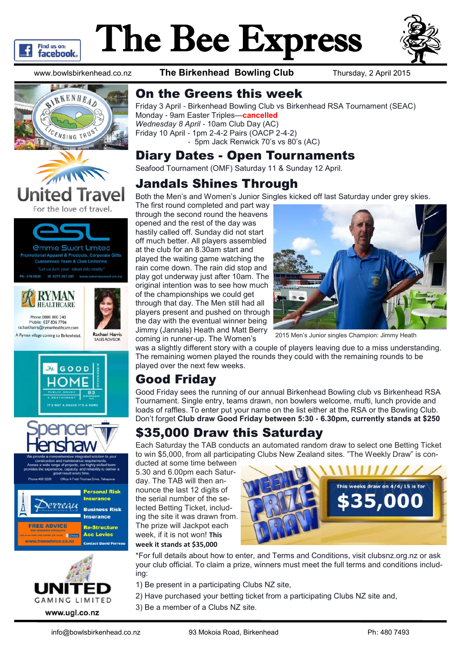

# The Bee Express



www.bowlsbirkenhead.co.nz **The Birkenhead Bowling Club** Thursday, 2 April 2015



RYMAN





GOOD



l<br>mas Drive, Takar Office 4 Fred Tho





## On the Greens this week

Friday 3 April - Birkenhead Bowling Club vs Birkenhead RSA Tournament (SEAC) Monday - 9am Easter Triples—**cancelled** *Wednesday 8 April* - 10am Club Day (AC) Friday 10 April - 1pm 2-4-2 Pairs (OACP 2-4-2) - 5pm Jack Renwick 70's vs 80's (AC)

### Diary Dates - Open Tournaments

Seafood Tournament (OMF) Saturday 11 & Sunday 12 April.

# Jandals Shines Through

Both the Men's and Women's Junior Singles kicked off last Saturday under grey skies.

The first round completed and part way through the second round the heavens opened and the rest of the day was hastily called off. Sunday did not start off much better. All players assembled at the club for an 8.30am start and played the waiting game watching the rain come down. The rain did stop and play got underway just after 10am. The original intention was to see how much of the championships we could get through that day. The Men still had all players present and pushed on through the day with the eventual winner being Jimmy (Jannals) Heath and Matt Berry coming in runner-up. The Women's



2015 Men's Junior singles Champion: Jimmy Heath

was a slightly different story with a couple of players leaving due to a miss understanding. The remaining women played the rounds they could with the remaining rounds to be played over the next few weeks.

# Good Friday

Good Friday sees the running of our annual Birkenhead Bowling club vs Birkenhead RSA Tournament. Single entry, teams drawn, non bowlers welcome, mufti, lunch provide and loads of raffles. To enter put your name on the list either at the RSA or the Bowling Club. Don't forget **Club draw Good Friday between 5:30 - 6.30pm, currently stands at \$250**

# \$35,000 Draw this Saturday

Each Saturday the TAB conducts an automated random draw to select one Betting Ticket to win \$5,000, from all participating Clubs New Zealand sites. "The Weekly Draw" is con-

ducted at some time between 5.30 and 6.00pm each Saturday. The TAB will then announce the last 12 digits of the serial number of the selected Betting Ticket, including the site it was drawn from. The prize will Jackpot each week, if it is not won! **This week it stands at \$35,000**



\*For full details about how to enter, and Terms and Conditions, visit clubsnz.org.nz or ask your club official. To claim a prize, winners must meet the full terms and conditions including:

- 1) Be present in a participating Clubs NZ site,
- 2) Have purchased your betting ticket from a participating Clubs NZ site and,
- 3) Be a member of a Clubs NZ site.